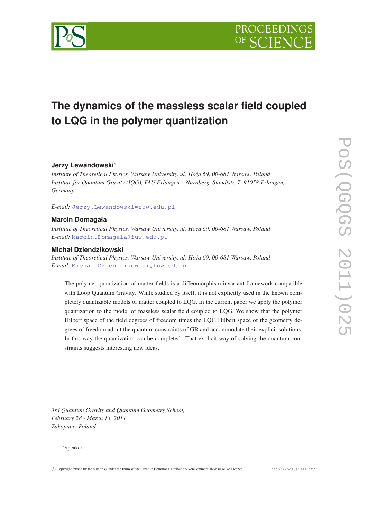

# **The dynamics of the massless scalar field coupled to LQG in the polymer quantization**

# **Jerzy Lewandowski**<sup>∗</sup>

*Institute of Theoretical Physics, Warsaw University, ul. Hoza 69, 00-681 Warsaw, Poland ˙ Institute for Quantum Gravity (IQG), FAU Erlangen – Nürnberg, Staudtstr. 7, 91058 Erlangen, Germany*

*E-mail:* [Jerzy.Lewandowski@fuw.edu.pl](mailto:Jerzy.Lewandowski@fuw.edu.pl)

# **Marcin Domagała**

*Institute of Theoretical Physics, Warsaw University, ul. Hoza 69, 00-681 Warsaw, Poland ˙ E-mail:* [Marcin.Domagala@fuw.edu.pl](mailto:Marcin.Domagala@fuw.edu.pl)

# **Michał Dziendzikowski**

*Institute of Theoretical Physics, Warsaw University, ul. Hoza 69, 00-681 Warsaw, Poland ˙ E-mail:* [Michal.Dziendzikowski@fuw.edu.pl](mailto:Michal.Dziendzikowski@fuw.edu.pl)

The polymer quantization of matter fields is a diffeomorphism invariant framework compatible with Loop Quantum Gravity. While studied by itself, it is not explicitly used in the known completely quantizable models of matter coupled to LQG. In the current paper we apply the polymer quantization to the model of massless scalar field coupled to LQG. We show that the polymer Hilbert space of the field degrees of freedom times the LQG Hilbert space of the geometry degrees of freedom admit the quantum constraints of GR and accommodate their explicit solutions. In this way the quantization can be completed. That explicit way of solving the quantum constraints suggests interesting new ideas.

*3rd Quantum Gravity and Quantum Geometry School, February 28 - March 13, 2011 Zakopane, Poland*

#### <sup>∗</sup>Speaker.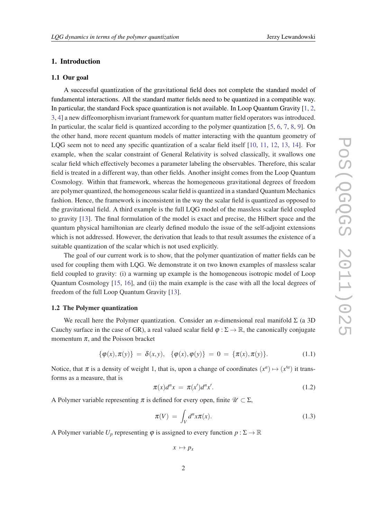# <span id="page-1-0"></span>1. Introduction

#### 1.1 Our goal

A successful quantization of the gravitational field does not complete the standard model of fundamental interactions. All the standard matter fields need to be quantized in a compatible way. In particular, the standard Fock space quantization is not available. In Loop Quantum Gravity [\[1,](#page-17-0) [2](#page-17-0), [3,](#page-17-0) [4](#page-17-0)] a new diffeomorphism invariant framework for quantum matter field operators was introduced. In particular, the scalar field is quantized according to the polymer quantization [\[5,](#page-17-0) [6,](#page-17-0) [7](#page-17-0), [8](#page-17-0), [9](#page-17-0)]. On the other hand, more recent quantum models of matter interacting with the quantum geometry of LOG seem not to need any specific quantization of a scalar field itself [[10,](#page-17-0) [11,](#page-17-0) [12](#page-18-0), [13](#page-18-0), [14\]](#page-18-0). For example, when the scalar constraint of General Relativity is solved classically, it swallows one scalar field which effectively becomes a parameter labeling the observables. Therefore, this scalar field is treated in a different way, than other fields. Another insight comes from the Loop Quantum Cosmology. Within that framework, whereas the homogeneous gravitational degrees of freedom are polymer quantized, the homogeneous scalar field is quantized in a standard Quantum Mechanics fashion. Hence, the framework is inconsistent in the way the scalar field is quantized as opposed to the gravitational field. A third example is the full LQG model of the massless scalar field coupled to gravity [\[13](#page-18-0)]. The final formulation of the model is exact and precise, the Hilbert space and the quantum physical hamiltonian are clearly defined modulo the issue of the self-adjoint extensions which is not addressed. However, the derivation that leads to that result assumes the existence of a suitable quantization of the scalar which is not used explicitly.

The goal of our current work is to show, that the polymer quantization of matter fields can be used for coupling them with LQG. We demonstrate it on two known examples of massless scalar field coupled to gravity: (i) a warming up example is the homogeneous isotropic model of Loop Quantum Cosmology [\[15](#page-18-0), [16](#page-18-0)], and (ii) the main example is the case with all the local degrees of freedom of the full Loop Quantum Gravity [[13\]](#page-18-0).

## 1.2 The Polymer quantization

We recall here the Polymer quantization. Consider an *n*-dimensional real manifold Σ (a 3D Cauchy surface in the case of GR), a real valued scalar field  $\varphi : \Sigma \to \mathbb{R}$ , the canonically conjugate momentum  $\pi$ , and the Poisson bracket

$$
\{\varphi(x), \pi(y)\} = \delta(x, y), \{\varphi(x), \varphi(y)\} = 0 = \{\pi(x), \pi(y)\}.
$$
 (1.1)

Notice, that  $\pi$  is a density of weight 1, that is, upon a change of coordinates  $(x^a) \mapsto (x'^a)$  it transforms as a measure, that is

$$
\pi(x)d^n x = \pi(x')d^n x'.\tag{1.2}
$$

A Polymer variable representing  $\pi$  is defined for every open, finite  $\mathcal{U} \subset \Sigma$ ,

$$
\pi(V) = \int_{V} d^{n}x \pi(x). \tag{1.3}
$$

A Polymer variable  $U_p$  representing  $\varphi$  is assigned to every function  $p : \Sigma \to \mathbb{R}$ 

$$
x \mapsto p_x
$$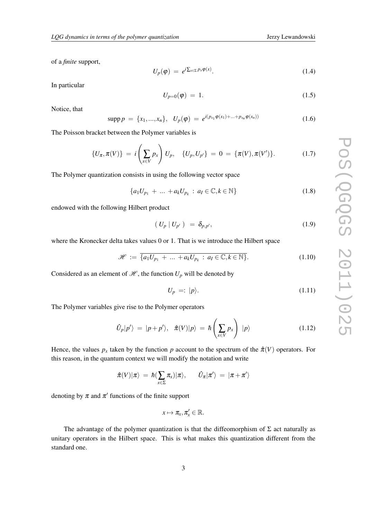<span id="page-2-0"></span>of a *finite* support,

$$
U_p(\varphi) = e^{i\sum_{x \in \Sigma} p_x \varphi(x)}.
$$
\n(1.4)

In particular

$$
U_{p=0}(\varphi) = 1. \tag{1.5}
$$

Notice, that

$$
\mathrm{supp}\, p \, = \, \{x_1, ..., x_n\}, \quad U_p(\varphi) \, = \, e^{i(p_{x_1}\varphi(x_1) + ... + p_{x_n}\varphi(x_n))} \tag{1.6}
$$

The Poisson bracket between the Polymer variables is

$$
\{U_{\pi}, \pi(V)\} = i\left(\sum_{x \in V} p_x\right) U_p, \quad \{U_p, U_{p'}\} = 0 = \{\pi(V), \pi(V')\}.
$$
 (1.7)

The Polymer quantization consists in using the following vector space

$$
\{a_1U_{p_1} + \dots + a_kU_{p_k} : a_l \in \mathbb{C}, k \in \mathbb{N}\}\tag{1.8}
$$

endowed with the following Hilbert product

$$
\left(\left.U_p\right|U_{p'}\right) = \delta_{p,p'},\tag{1.9}
$$

where the Kronecker delta takes values 0 or 1. That is we introduce the Hilbert space

$$
\mathscr{H} := \overline{\{a_1 U_{p_1} + \dots + a_k U_{p_k} : a_l \in \mathbb{C}, k \in \mathbb{N}\}}.
$$
\n(1.10)

Considered as an element of  $\mathcal{H}$ , the function  $U_p$  will be denoted by

$$
U_p =: |p\rangle. \tag{1.11}
$$

The Polymer variables give rise to the Polymer operators

$$
\hat{U}_p|p'\rangle = |p+p'\rangle, \quad \hat{\pi}(V)|p\rangle = \hbar\left(\sum_{x\in V}p_x\right)|p\rangle \tag{1.12}
$$

Hence, the values  $p_x$  taken by the function  $p$  account to the spectrum of the  $\hat{\pi}(V)$  operators. For this reason, in the quantum context we will modify the notation and write

$$
\hat{\pi}(V)|\pi\rangle = \hbar(\sum_{x\in\Sigma}\pi_x)|\pi\rangle, \qquad \hat{U}_{\pi}|\pi'\rangle = |\pi + \pi'\rangle
$$

denoting by  $\pi$  and  $\pi'$  functions of the finite support

$$
x\mapsto \pi_{x},\pi_{x}'\in\mathbb{R}.
$$

The advantage of the polymer quantization is that the diffeomorphism of  $\Sigma$  act naturally as unitary operators in the Hilbert space. This is what makes this quantization different from the standard one.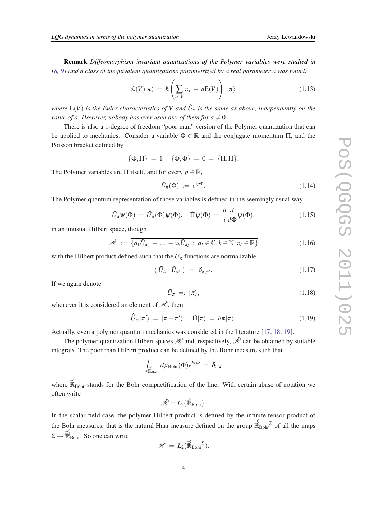<span id="page-3-0"></span>Remark *Diffeomorphism invariant quantizations of the Polymer variables were studied in [[8](#page-17-0), [9\]](#page-17-0) and a class of inequivalent quantizations parametrized by a real parameter a was found:*

$$
\hat{\pi}(V)|\pi\rangle = \hbar\left(\sum_{x\in V}\pi_x + aE(V)\right)|\pi\rangle \qquad (1.13)
$$

where  $E(V)$  is the Euler characteristics of V and  $\hat{U}_{\pi}$  is the same as above, independently on the *value of a. However, nobody has ever used any of them for*  $a \neq 0$ *.* 

There is also a 1-degree of freedom "poor man" version of the Polymer quantization that can be applied to mechanics. Consider a variable  $\Phi \in \mathbb{R}$  and the conjugate momentum  $\Pi$ , and the Poisson bracket defined by

$$
\{\Phi,\Pi\} = 1 \quad \{\Phi,\Phi\} = 0 = \{\Pi,\Pi\}.
$$

The Polymer variables are  $\Pi$  itself, and for every  $p \in \mathbb{R}$ ,

$$
\tilde{U}_{\pi}(\Phi) := e^{ip\Phi}.
$$
\n(1.14)

The Polymer quantum representation of those variables is defined in the seemingly usual way

$$
\hat{U}_{\pi}\psi(\Phi) = \tilde{U}_{\pi}(\Phi)\psi(\Phi), \quad \hat{\Pi}\psi(\Phi) = \frac{\hbar}{i}\frac{d}{d\Phi}\psi(\Phi), \tag{1.15}
$$

in an unusual Hilbert space, though

$$
\tilde{\mathscr{H}} := \overline{\{a_1 \tilde{U}_{\pi_1} + \dots + a_k \tilde{U}_{\pi_k} : a_I \in \mathbb{C}, k \in \mathbb{N}, \pi_I \in \mathbb{R}\}}
$$
(1.16)

with the Hilbert product defined such that the  $U_{\pi}$  functions are normalizable

$$
\left( \tilde{U}_{\pi} \mid \tilde{U}_{\pi'} \right) = \delta_{\pi, \pi'}.
$$
\n(1.17)

If we again denote

$$
\tilde{U}_{\pi} =: |\pi\rangle, \tag{1.18}
$$

whenever it is considered an element of  $\mathcal{H}$ , then

$$
\hat{\tilde{U}}_{\pi}|\pi'\rangle = |\pi + \pi'\rangle, \quad \hat{\Pi}|\pi\rangle = \hbar\pi|\pi\rangle. \tag{1.19}
$$

Actually, even a polymer quantum mechanics was considered in the literature [\[17](#page-18-0), [18,](#page-18-0) [19](#page-18-0)].

The polymer quantization Hilbert spaces  $\mathcal H$  and, respectively,  $\tilde{\mathcal H}$  can be obtained by suitable integrals. The poor man Hilbert product can be defined by the Bohr measure such that

$$
\int_{\mathbb{R}_{\text{Bohr}}} d\mu_{\text{Bohr}}(\Phi) e^{i\pi \Phi} = \delta_{0,\pi}
$$

where  $\mathbb{R}_{\text{Bohr}}$  stands for the Bohr compactification of the line. With certain abuse of notation we often write

$$
\tilde{\mathscr{H}} = L_2(\mathbb{\overrightarrow{R}}_{Bohr}).
$$

In the scalar field case, the polymer Hilbert product is defined by the infinite tensor product of the Bohr measures, that is the natural Haar measure defined on the group  $\mathbb{R}_{\text{Bohr}}^{\leq}$  of all the maps  $\Sigma \rightarrow \widehat{\mathbb{R}}_{\text{Bohr}}$ . So one can write

$$
\mathscr{H} = L_2(\mathbb{\overrightarrow{R}}_{Bohr}^{\Sigma}).
$$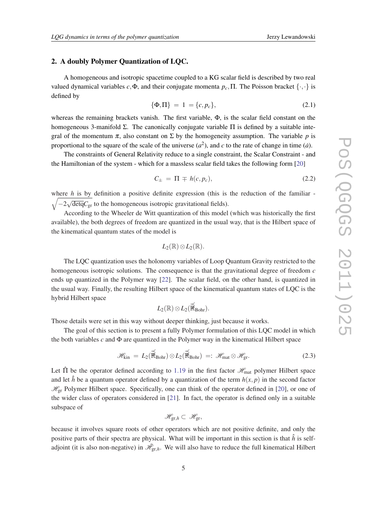# <span id="page-4-0"></span>2. A doubly Polymer Quantization of LQC.

A homogeneous and isotropic spacetime coupled to a KG scalar field is described by two real valued dynamical variables  $c, \Phi$ , and their conjugate momenta  $p_c$ , Π. The Poisson bracket  $\{\cdot, \cdot\}$  is defined by

$$
\{\Phi,\Pi\} = 1 = \{c, p_c\},\tag{2.1}
$$

whereas the remaining brackets vanish. The first variable, Φ, is the scalar field constant on the homogeneous 3-manifold  $\Sigma$ . The canonically conjugate variable  $\Pi$  is defined by a suitable integral of the momentum  $\pi$ , also constant on  $\Sigma$  by the homogeneity assumption. The variable p is proportional to the square of the scale of the universe  $(a^2)$ , and *c* to the rate of change in time  $(\dot{a})$ .

The constraints of General Relativity reduce to a single constraint, the Scalar Constraint - and the Hamiltonian of the system - which for a massless scalar field takes the following form [\[20\]](#page-18-0)

$$
C_{\pm} = \Pi \mp h(c, p_c), \tag{2.2}
$$

where *h* is by definition a positive definite expression (this is the reduction of the familiar -  $\sqrt{-2}$ √ detq*C*gr to the homogeneous isotropic gravitational fields).

According to the Wheeler de Witt quantization of this model (which was historically the first available), the both degrees of freedom are quantized in the usual way, that is the Hilbert space of the kinematical quantum states of the model is

$$
L_2(\mathbb{R})\otimes L_2(\mathbb{R}).
$$

The LQC quantization uses the holonomy variables of Loop Quantum Gravity restricted to the homogeneous isotropic solutions. The consequence is that the gravitational degree of freedom *c* ends up quantized in the Polymer way [\[22](#page-18-0)]. The scalar field, on the other hand, is quantized in the usual way. Finally, the resulting Hilbert space of the kinematical quantum states of LQC is the hybrid Hilbert space

$$
L_2(\mathbb{R}) \otimes L_2(\widehat{\overline{\mathbb{R}}}_{\text{Bohr}}).
$$

Those details were set in this way without deeper thinking, just because it works.

The goal of this section is to present a fully Polymer formulation of this LQC model in which the both variables *c* and Φ are quantized in the Polymer way in the kinematical Hilbert space

$$
\mathscr{H}_{\text{kin}} = L_2(\widehat{\mathbb{R}}_{\text{Bohr}}) \otimes L_2(\widehat{\mathbb{R}}_{\text{Bohr}}) =: \mathscr{H}_{\text{mat}} \otimes \mathscr{H}_{\text{gr}}.
$$
 (2.3)

Let  $\hat{\Pi}$  be the operator defined according to [1.19](#page-3-0) in the first factor  $\mathcal{H}_{\text{mat}}$  polymer Hilbert space and let  $\hat{h}$  be a quantum operator defined by a quantization of the term  $h(x, p)$  in the second factor  $\mathcal{H}_{gr}$  Polymer Hilbert space. Specifically, one can think of the operator defined in [[20\]](#page-18-0), or one of the wider class of operators considered in [\[21](#page-18-0)]. In fact, the operator is defined only in a suitable subspace of

$$
\mathscr{H}_{gr,h}\subset\mathscr{H}_{gr},
$$

because it involves square roots of other operators which are not positive definite, and only the positive parts of their spectra are physical. What will be important in this section is that  $\hat{h}$  is selfadjoint (it is also non-negative) in  $\mathcal{H}_{gr,h}$ . We will also have to reduce the full kinematical Hilbert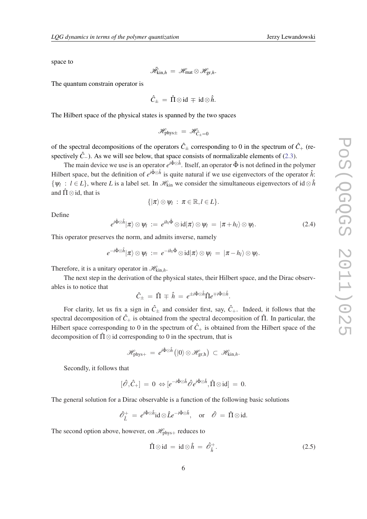<span id="page-5-0"></span>space to

$$
\tilde{\mathscr{H}}_{\text{kin},h} \,=\, \mathscr{H}_{\text{mat}} \otimes \mathscr{H}_{\text{gr},h}.
$$

The quantum constrain operator is

$$
\hat{C}_{\pm} = \hat{\Pi} \otimes id \mp id \otimes \hat{h}.
$$

The Hilbert space of the physical states is spanned by the two spaces

$$
\mathscr{H}_{\text{phys}\pm} = \mathscr{H}_{\hat{C}_{\pm}=0}
$$

of the spectral decompositions of the operators  $\hat{C}_\pm$  corresponding to 0 in the spectrum of  $\hat{C}_+$  (respectively  $\hat{C}_-$ ). As we will see below, that space consists of normalizable elements of [\(2.3\)](#page-4-0).

The main device we use is an operator  $e^{i\hat{\Phi}\otimes\hat{h}}$ . Itself, an operator  $\hat{\Phi}$  is not defined in the polymer Hilbert space, but the definition of  $e^{i\hat{\Phi}\otimes\hat{h}}$  is quite natural if we use eigenvectors of the operator  $\hat{h}$ :  $\{\psi_l : l \in L\}$ , where *L* is a label set. In  $\mathcal{H}_{kin}$  we consider the simultaneous eigenvectors of id⊗ $\hat{h}$ and  $\hat{\Pi} \otimes id$ , that is

$$
\{|\pi\rangle\otimes\psi_l\;:\;\pi\in\mathbb{R},l\in L\}.
$$

Define

$$
e^{i\hat{\Phi}\otimes\hat{h}}|\pi\rangle\otimes\psi_l\;:=\;e^{ih_l\hat{\Phi}}\otimes\mathrm{id}|\pi\rangle\otimes\psi_l\;=\;|\pi+h_l\rangle\otimes\psi_l.\tag{2.4}
$$

This operator preserves the norm, and admits inverse, namely

$$
e^{-i\hat{\Phi}\otimes\hat{h}}|\pi\rangle\otimes\psi_l\;:=\;e^{-ih_l\hat{\Phi}}\otimes\mathrm{id}|\pi\rangle\otimes\psi_l\;=\;|\pi-h_l\rangle\otimes\psi_l.
$$

Therefore, it is a unitary operator in  $\mathcal{H}_{\text{kin},h}$ .

The next step in the derivation of the physical states, their Hilbert space, and the Dirac observables is to notice that

$$
\hat{C}_{\pm} = \hat{\Pi} \mp \hat{h} = e^{\pm i \hat{\Phi} \otimes \hat{h}} \hat{\Pi} e^{\mp i \hat{\Phi} \otimes \hat{h}}.
$$

For clarity, let us fix a sign in  $\hat{C}_{\pm}$  and consider first, say,  $\hat{C}_{+}$ . Indeed, it follows that the spectral decomposition of  $\hat{C}_+$  is obtained from the spectral decomposition of  $\hat{\Pi}$ . In particular, the Hilbert space corresponding to 0 in the spectrum of  $\hat{C}_+$  is obtained from the Hilbert space of the decomposition of  $\hat{\Pi} \otimes \text{id}$  corresponding to 0 in the spectrum, that is

$$
\mathscr{H}_{\text{phys}+}\,=\,e^{i\hat{\Phi}\otimes\hat{h}}\left(|0\rangle\otimes\mathscr{H}_{\text{gr,h}}\right)\;\subset\;\mathscr{H}_{\text{kin},h}.
$$

Secondly, it follows that

$$
[\hat{\mathscr{O}},\hat{C}_+]\,=\,0\,\Leftrightarrow [e^{-i\hat{\Phi}\otimes\hat{h}}\hat{\mathscr{O}}e^{i\hat{\Phi}\otimes\hat{h}},\hat{\Pi}\otimes\mathrm{id}]\,=\,0.
$$

The general solution for a Dirac observable is a function of the following basic solutions

$$
\hat{\mathscr{O}}_{\hat{L}}^+ = e^{i\hat{\Phi}\otimes\hat{h}}\mathrm{id}\otimes\hat{L}e^{-i\hat{\Phi}\otimes\hat{h}}, \quad \text{or} \quad \hat{\mathscr{O}} = \hat{\Pi}\otimes\mathrm{id}.
$$

The second option above, however, on  $\mathcal{H}_{\text{phys}+}$  reduces to

$$
\hat{\Pi} \otimes id = id \otimes \hat{h} = \hat{\mathscr{O}}_{\hat{h}}^+.
$$
\n(2.5)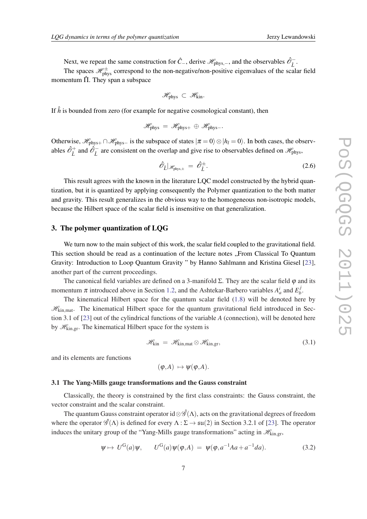Next, we repeat the same construction for  $\hat{C}_-$ , derive  $\mathscr{H}_{\text{phys},-}$ , and the observables  $\hat{\mathscr{O}}_L^-$ .

The spaces  $\mathcal{H}_{\text{phys}}^{\pm}$  correspond to the non-negative/non-positive eigenvalues of the scalar field momentum  $\hat{\Pi}$ . They span a subspace

$$
\mathscr{H}_{phys} \subset \mathscr{H}_{kin}.
$$

If  $\hat{h}$  is bounded from zero (for example for negative cosmological constant), then

$$
\mathscr{H}_{\text{phys}}\,=\,\mathscr{H}_{\text{phys}+}\,\oplus\,\mathscr{H}_{\text{phys}-}.
$$

Otherwise,  $\mathcal{H}_{phys+} \cap \mathcal{H}_{phys-}$  is the subspace of states  $|\pi = 0\rangle \otimes |h_l = 0\rangle$ . In both cases, the observables  $\hat{\mathcal{O}}_L^+$  and  $\hat{\mathcal{O}}_L^-$  are consistent on the overlap and give rise to observables defined on  $\mathscr{H}_{\text{phys}}$ ,

$$
\hat{\partial}_{\hat{L}}|_{\mathscr{H}_{\text{phys},\pm}} = \hat{\partial}_{\hat{L}}^{\pm}.
$$
\n(2.6)

This result agrees with the known in the literature LQC model constructed by the hybrid quantization, but it is quantized by applying consequently the Polymer quantization to the both matter and gravity. This result generalizes in the obvious way to the homogeneous non-isotropic models, because the Hilbert space of the scalar field is insensitive on that generalization.

#### 3. The polymer quantization of LQG

We turn now to the main subject of this work, the scalar field coupled to the gravitational field. This section should be read as a continuation of the lecture notes . From Classical To Ouantum Gravity: Introduction to Loop Quantum Gravity " by Hanno Sahlmann and Kristina Giesel [[23\]](#page-18-0), another part of the current proceedings.

The canonical field variables are defined on a 3-manifold  $\Sigma$ . They are the scalar field  $\varphi$  and its momentum  $\pi$  introduced above in Section [1.2,](#page-1-0) and the Ashtekar-Barbero variables  $A_a^i$  and  $E_b^j$ *b* .

The kinematical Hilbert space for the quantum scalar field [\(1.8](#page-2-0)) will be denoted here by  $\mathcal{H}_{kin,mat}$ . The kinematical Hilbert space for the quantum gravitational field introduced in Section 3.1 of [[23](#page-18-0)] out of the cylindrical functions of the variable *A* (connection), will be denoted here by  $\mathcal{H}_{kin,gr}$ . The kinematical Hilbert space for the system is

$$
\mathcal{H}_{\text{kin}} = \mathcal{H}_{\text{kin,mat}} \otimes \mathcal{H}_{\text{kin,gr}},\tag{3.1}
$$

and its elements are functions

$$
(\varphi,A)\,\mapsto\psi(\varphi,A).
$$

#### 3.1 The Yang-Mills gauge transformations and the Gauss constraint

Classically, the theory is constrained by the first class constraints: the Gauss constraint, the vector constraint and the scalar constraint.

The quantum Gauss constraint operator id⊗ $\mathscr{G}(\Lambda)$ , acts on the gravitational degrees of freedom where the operator  $\hat{\mathscr{G}}(\Lambda)$  is defined for every  $\Lambda : \Sigma \to \mathfrak{su}(2)$  in Section 3.2.1 of [[23\]](#page-18-0). The operator induces the unitary group of the "Yang-Mills gauge transformations" acting in  $\mathcal{H}_{\text{kin,gr}}$ ,

$$
\psi \mapsto U^{\mathcal{G}}(a)\psi, \qquad U^{\mathcal{G}}(a)\psi(\varphi, A) = \psi(\varphi, a^{-1}Aa + a^{-1}da). \tag{3.2}
$$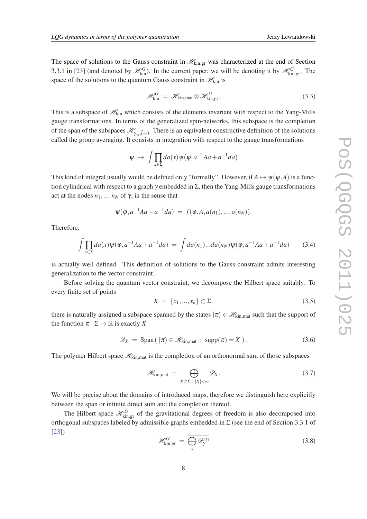<span id="page-7-0"></span>The space of solutions to the Gauss constraint in  $\mathcal{H}_{\text{kin,gr}}$  was characterized at the end of Section 3.3.1 in [[23\]](#page-18-0) (and denoted by  $\mathcal{H}_{kin}^G$ ). In the current paper, we will be denoting it by  $\mathcal{H}_{kin,gr}^G$ . The space of the solutions to the quantum Gauss constraint in  $\mathcal{H}_{kin}$  is

$$
\mathcal{H}_{\text{kin}}^G = \mathcal{H}_{\text{kin,mat}} \otimes \mathcal{H}_{\text{kin,gr}}^G.
$$
 (3.3)

This is a subspace of  $\mathcal{H}_{kin}$  which consists of the elements invariant with respect to the Yang-Mills gauge transformations. In terms of the generalized spin-networks, this subspace is the completion of the span of the subspaces  $\mathcal{H}_{\gamma,\vec{j},\vec{l}=0}$ . There is an equivalent constructive definition of the solutions called the group averaging. It consists in integration with respect to the gauge transformations

$$
\psi \mapsto \int \prod_{x \in \Sigma} da(x) \psi(\varphi, a^{-1}Aa + a^{-1}da)
$$

This kind of integral usually would be defined only "formally". However, if  $A \mapsto \psi(\varphi, A)$  is a function cylindrical with respect to a graph  $\gamma$  embedded in  $\Sigma$ , then the Yang-Mills gauge transformations act at the nodes  $n_1, ..., n_N$  of  $\gamma$ , in the sense that

$$
\psi(\varphi, a^{-1}Aa + a^{-1}da) = f(\varphi, A, a(n_1), ..., a(n_N)).
$$

Therefore,

$$
\int \prod_{x \in \Sigma} da(x) \psi(\varphi, a^{-1}Aa + a^{-1}da) = \int da(n_1)...da(n_N) \psi(\varphi, a^{-1}Aa + a^{-1}da) \tag{3.4}
$$

is actually well defined. This definition of solutions to the Gauss constraint admits interesting generalization to the vector constraint.

Before solving the quantum vector constraint, we decompose the Hilbert space suitably. To every finite set of points

$$
X = \{x_1, ..., x_k\} \subset \Sigma,
$$
\n(3.5)

there is naturally assigned a subspace spanned by the states  $|\pi\rangle \in \mathcal{H}_{kin}$  mat such that the support of the function  $\pi : \Sigma \to \mathbb{R}$  is exactly X

$$
\mathscr{D}_X = \text{Span}\left(|\pi\rangle \in \mathscr{H}_{\text{kin},\text{mat}} : \text{supp}(\pi) = X\right). \tag{3.6}
$$

The polymer Hilbert space  $\mathcal{H}_{kin,mat}$  is the completion of an orthonormal sum of those subspaces

$$
\mathscr{H}_{\text{kin,mat}} = \overline{\bigoplus_{X \subset \Sigma \; : \; |X| < \infty} \mathscr{D}_X}.
$$
\n(3.7)

We will be precise about the domains of introduced maps, therefore we distinguish here explicitly between the span or infinite direct sum and the completion thereof.

The Hilbert space  $\mathcal{H}_{kin,gr}^G$  of the gravitational degrees of freedom is also decomposed into orthogonal subspaces labeled by admissible graphs embedded in  $\Sigma$  (see the end of Section 3.3.1 of [[23\]](#page-18-0))

$$
\mathcal{H}_{\text{kin,gr}}^{G} = \overline{\bigoplus_{\gamma} \mathcal{D}_{\gamma}^{\prime G}} \tag{3.8}
$$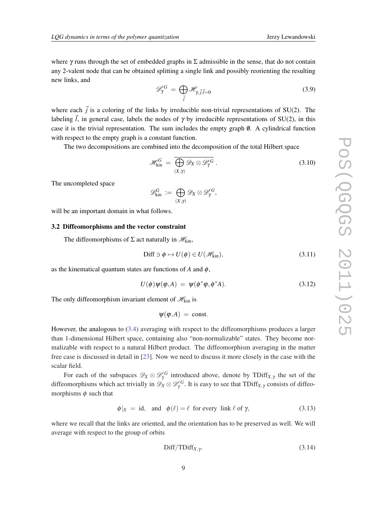where  $\gamma$  runs through the set of embedded graphs in  $\Sigma$  admissible in the sense, that do not contain any 2-valent node that can be obtained splitting a single link and possibly reorienting the resulting new links, and

$$
\mathcal{D}_{\gamma}^{\prime G} = \bigoplus_{\vec{j}} \mathcal{H}_{\gamma, \vec{j}, \vec{l}=0} \tag{3.9}
$$

where each  $\vec{j}$  is a coloring of the links by irreducible non-trivial representations of SU(2). The labeling  $\vec{l}$ , in general case, labels the nodes of  $\gamma$  by irreducible representations of SU(2), in this case it is the trivial representation. The sum includes the empty graph  $\emptyset$ . A cylindrical function with respect to the empty graph is a constant function.

The two decompositions are combined into the decomposition of the total Hilbert space

$$
\mathscr{H}_{\rm kin}^G = \overline{\bigoplus_{(X,\gamma)} \mathscr{D}_X \otimes \mathscr{D}'^G_{\gamma}}.
$$
\n(3.10)

The uncompleted space

$$
\mathscr{D}_{\rm kin}^G := \bigoplus_{(X,\gamma)} \mathscr{D}_X \otimes \mathscr{D}'^G_\gamma,
$$

will be an important domain in what follows.

#### 3.2 Diffeomorphisms and the vector constraint

The diffeomorphisms of  $\Sigma$  act naturally in  $\mathcal{H}_{kin}$ ,

$$
\text{Diff} \ni \phi \mapsto U(\phi) \in U(\mathcal{H}_{\text{kin}}),\tag{3.11}
$$

as the kinematical quantum states are functions of  $A$  and  $\phi$ ,

$$
U(\phi)\psi(\varphi,A) = \psi(\phi^*\varphi,\phi^*A). \tag{3.12}
$$

The only diffeomorphism invariant element of  $\mathcal{H}_{kin}$  is

 $\Psi(\varphi, A) = \text{const.}$ 

However, the analogous to [\(3.4](#page-7-0)) averaging with respect to the diffeomorphisms produces a larger than 1-dimensional Hilbert space, containing also "non-normalizable" states. They become normalizable with respect to a natural Hilbert product. The diffeomorphism averaging in the matter free case is discussed in detail in [[23\]](#page-18-0). Now we need to discuss it more closely in the case with the scalar field.

For each of the subspaces  $\mathscr{D}_X \otimes \mathscr{D}'_Y^G$  introduced above, denote by TDiff<sub>*X*,*γ*</sub> the set of the diffeomorphisms which act trivially in  $\mathscr{D}_X\otimes \mathscr{D}_\gamma'^G$ . It is easy to see that  $\mathrm{TDiff}_{X,\gamma}$  consists of diffeomorphisms  $\phi$  such that

$$
\phi|_X = id, \text{ and } \phi(\ell) = \ell \text{ for every link } \ell \text{ of } \gamma,
$$
\n(3.13)

where we recall that the links are oriented, and the orientation has to be preserved as well. We will average with respect to the group of orbits

$$
\text{Diff/TDiff}_{X,\gamma}.\tag{3.14}
$$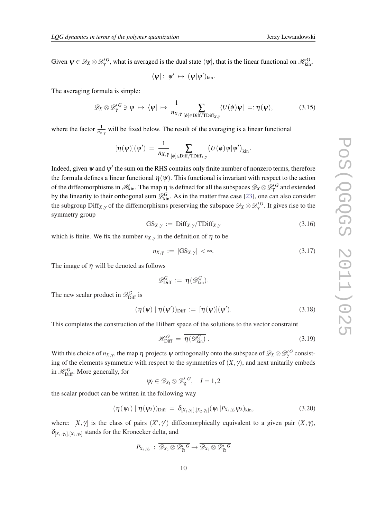Given  $\psi \in \mathscr{D}_X \otimes \mathscr{D}'^G_\gamma$ , what is averaged is the dual state  $\langle \psi |$ , that is the linear functional on  $\mathscr{H}_{kin}^G$ ,

$$
\langle \psi|:\; \psi'\;\mapsto\; (\psi|\psi')_{kin}.
$$

The averaging formula is simple:

$$
\mathscr{D}_X \otimes \mathscr{D}'^G_\gamma \ni \psi \mapsto \langle \psi | \mapsto \frac{1}{n_{X,Y}} \sum_{[\phi] \in \text{Diff/TDiff}_{X,Y}} \langle U(\phi) \psi | =: \eta(\psi), \tag{3.15}
$$

where the factor  $\frac{1}{n_{X,Y}}$  will be fixed below. The result of the averaging is a linear functional

$$
[\eta(\psi)](\psi')\,=\,\frac{1}{n_{X,\gamma}}\sum_{[\phi]\in{\rm Diff/TDiff}_{X,\gamma}}\big(U(\phi)\psi|\psi'\big)_{\rm kin}\,.
$$

Indeed, given  $\psi$  and  $\psi'$  the sum on the RHS contains only finite number of nonzero terms, therefore the formula defines a linear functional  $\eta(\psi)$ . This functional is invariant with respect to the action of the diffeomorphisms in  $\mathscr{H}_{\rm kin}.$  The map  $\eta$  is defined for all the subspaces  $\mathscr{D}_X\otimes\mathscr{D}'^G_\gamma$  and extended by the linearity to their orthogonal sum  $\mathscr{D}_{kin}^G$ . As in the matter free case [[23\]](#page-18-0), one can also consider the subgroup  $\text{Diff}_{X,\gamma}$  of the diffemorphisms preserving the subspace  $\mathscr{D}_X \otimes \mathscr{D}'^G_Y$ . It gives rise to the symmetry group

$$
GS_{X,\gamma} := \text{Diff}_{X,\gamma}/\text{TDiff}_{X,\gamma} \tag{3.16}
$$

which is finite. We fix the number  $n_{X,Y}$  in the definition of  $\eta$  to be

$$
n_{X,\gamma} := |\mathbf{G} \mathbf{S}_{X,\gamma}| < \infty. \tag{3.17}
$$

The image of  $\eta$  will be denoted as follows

$$
\mathscr{D}_{\mathrm{Diff}}^G\,:=\,\eta(\mathscr{D}_{\mathrm{kin}}^G).
$$

The new scalar product in  $\mathscr{D}_{\text{Diff}}^G$  is

$$
(\eta(\psi) | \eta(\psi'))_{\text{Diff}} := [\eta(\psi)](\psi'). \tag{3.18}
$$

This completes the construction of the Hilbert space of the solutions to the vector constraint

$$
\mathcal{H}_{\text{Diff}}^G = \overline{\eta(\mathcal{D}_{\text{kin}}^G)}\,. \tag{3.19}
$$

With this choice of  $n_{X,Y}$ , the map  $\eta$  projects  $\psi$  orthogonally onto the subspace of  $\mathscr{D}_X\otimes \mathscr{D}'^G_Y$  consisting of the elements symmetric with respect to the symmetries of  $(X, \gamma)$ , and next unitarily embeds in  $\mathcal{H}_{\text{Diff}}^G$ . More generally, for

$$
\psi_I \in \mathscr{D}_{X_I} \otimes \mathscr{D}'^G_{\gamma_I}, \quad I=1,2
$$

the scalar product can be written in the following way

$$
(\eta(\psi_1) | \eta(\psi_2))_{\text{Diff}} = \delta_{[X_1, \gamma_1], [X_2, \gamma_2]}(\psi_1 | P_{X_2, \gamma_2} \psi_2)_{\text{kin}},
$$
\n(3.20)

where:  $[X, \gamma]$  is the class of pairs  $(X', \gamma')$  diffeomorphically equivalent to a given pair  $(X, \gamma)$ ,  $\delta_{[X_1,\gamma_1],[X_2,\gamma_2]}$  stands for the Kronecker delta, and

$$
P_{X_2,\gamma_2} \,:\, \overline{\mathscr{D}_{X_2} \otimes \mathscr{D}_{\gamma_2}^{\prime\,G}} \rightarrow \overline{\mathscr{D}_{X_2} \otimes \mathscr{D}_{\gamma_2}^{\prime\,G}}
$$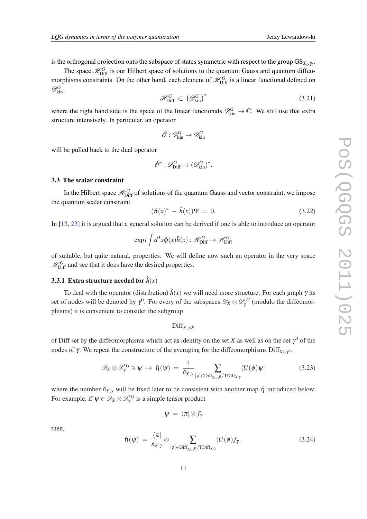<span id="page-10-0"></span>is the orthogonal projection onto the subspace of states symmetric with respect to the group  ${\rm GS}_{X_2,\gamma_2}.$ 

The space  $\mathcal{H}_{\text{Diff}}^G$  is our Hilbert space of solutions to the quantum Gauss and quantum diffeomorphisms constraints. On the other hand, each element of  $\mathcal{H}_{Diff}^G$  is a linear functional defined on  $\mathscr{D}_{\rm kin}^G$ 

$$
\mathcal{H}_{\text{Diff}}^G \subset \left(\mathcal{D}_{\text{kin}}^G\right)^* \tag{3.21}
$$

where the right hand side is the space of the linear functionals  $\mathcal{D}_{kin}^G \to \mathbb{C}$ . We still use that extra structure intensively. In particular, an operator

$$
\hat{\mathscr{O}}: \mathscr{D}_{\rm kin}^G\rightarrow \mathscr{D}_{\rm kin}^G
$$

will be pulled back to the dual operator

$$
\hat{\mathscr{O}}^*: \mathscr{D}_{\mathrm{Diff}}^G \to (\mathscr{D}_{\mathrm{kin}}^G)^*.
$$

#### 3.3 The scalar constraint

In the Hilbert space  $\mathcal{H}_{\text{Diff}}^G$  of solutions of the quantum Gauss and vector constraint, we impose the quantum scalar constraint

$$
(\hat{\pi}(x)^{*} - \hat{h}(x))\Psi = 0.
$$
 (3.22)

In [[13,](#page-18-0) [23](#page-18-0)] it is argued that a general solution can be derived if one is able to introduce an operator

$$
\exp i \int d^3x \hat{\varphi}(x) \hat{h}(x) : \mathcal{H}_{\text{Diff}}^G \to \mathcal{H}_{\text{Diff}}^G
$$

of suitable, but quite natural, properties. We will define now such an operator in the very space  $\mathcal{H}_{\text{Diff}}^G$  and see that it does have the desired properties.

# **3.3.1 Extra structure needed for**  $\hat{h}(x)$

To deal with the operator (distribution)  $\hat{h}(x)$  we will need more structure. For each graph  $\gamma$  its set of nodes will be denoted by  $\gamma^0$ . For every of the subspaces  $\mathscr{D}_X \otimes \mathscr{D}'_Y^G$  (modulo the diffeomorphisms) it is convenient to consider the subgroup

$$
\mathrm{Diff}_{X\cup\gamma^0}
$$

of Diff set by the diffeomorphisms which act as identity on the set *X* as well as on the set  $\gamma^0$  of the nodes of γ. We repeat the construction of the averaging for the diffeomorphisms  $\text{Diff}_{X\cup Y^0}$ ,

$$
\mathscr{D}_X \otimes \mathscr{D}'^G_\gamma \ni \psi \mapsto \tilde{\eta}(\psi) = \frac{1}{\tilde{n}_{X,\gamma}} \sum_{[\phi] \in \text{Diff}_{X \cup \gamma^0}/\text{TDiff}_{X,\gamma}} \langle U(\phi) \psi | \tag{3.23}
$$

where the number  $\tilde{n}_{X,Y}$  will be fixed later to be consistent with another map  $\tilde{\eta}$  introduced below. For example, if  $\psi \in \mathscr{D}_X \otimes \mathscr{D}'^G_Y$  is a simple tensor product

$$
|\psi\> = \langle\pi|\!\otimes\! f_\gamma\>
$$

then,

$$
\tilde{\eta}(\psi) = \frac{\langle \pi |}{\tilde{n}_{X,\gamma}} \otimes \sum_{[\phi] \in \text{Diff}_{X \cup \gamma^0}/\text{TDiff}_{X,\gamma}} \langle U(\phi) f_{\gamma} |.
$$
\n(3.24)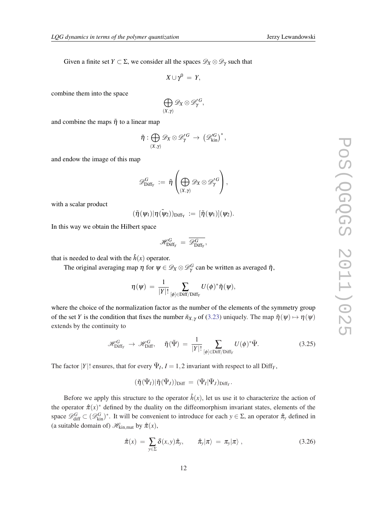Given a finite set *Y*  $\subset \Sigma$ , we consider all the spaces  $\mathscr{D}_X \otimes \mathscr{D}_Y$  such that

$$
X\cup \gamma^0 = Y,
$$

combine them into the space

$$
\bigoplus_{(X,\gamma)} \mathscr{D}_X \otimes \mathscr{D}'^G_\gamma,
$$

and combine the maps  $\tilde{\eta}$  to a linear map

$$
\tilde{\eta}: \bigoplus_{(X,\gamma)} \mathscr{D}_X \otimes \mathscr{D}'^G_{\gamma} \rightarrow \left(\mathscr{D}'^G_{\mathrm{kin}}\right)^*,
$$

and endow the image of this map

$$
\mathscr{D}^G_{\mathrm{Diff}_Y} \,:=\, \tilde{\eta}\left(\bigoplus_{(X,\gamma)} \mathscr{D}_X \otimes \mathscr{D}'^G_{\gamma} \right),
$$

with a scalar product

$$
(\tilde{\eta}(\psi_1)|\eta(\tilde{\psi}_2))_{Diff_Y}\,:=\,[\tilde{\eta}(\psi_1)](\psi_2).
$$

In this way we obtain the Hilbert space

$$
\mathscr{H}_{\mathrm{Diff}_Y}^G \,=\, \overline{\mathscr{D}_{\mathrm{Diff}_Y}^G},
$$

that is needed to deal with the  $\hat{h}(x)$  operator.

The original averaging map  $\eta$  for  $\psi \in \mathscr{D}_X \otimes \mathscr{D}_\gamma^G$  can be written as averaged  $\tilde{\eta}$ ,

$$
\eta(\psi) \,=\, \frac{1}{|Y|!} \sum_{[\phi]\in \text{Diff}/\text{Diff}_Y} U(\phi)^* \tilde{\eta}(\psi),
$$

where the choice of the normalization factor as the number of the elements of the symmetry group of the set *Y* is the condition that fixes the number  $\tilde{n}_{X,Y}$  of ([3.23\)](#page-10-0) uniquely. The map  $\tilde{\eta}(\psi) \mapsto \eta(\psi)$ extends by the continuity to

$$
\mathscr{H}_{\text{Diff}_{Y}}^{G} \to \mathscr{H}_{\text{Diff}}^{G}, \quad \check{\eta}(\tilde{\Psi}) = \frac{1}{|Y|!} \sum_{[\phi] \in \text{Diff}/\text{Diff}_{Y}} U(\phi)^{*} \tilde{\Psi}.
$$
 (3.25)

The factor |*Y*|! ensures, that for every  $\tilde{\Psi}_I$ , *I* = 1, 2 invariant with respect to all Diff<sub>*Y*</sub>,

$$
(\check{\eta}(\tilde{\Psi}_I)|\check{\eta}(\tilde{\Psi}_J))_{\mathrm{Diff}}\,=\, (\tilde{\Psi}_I|\tilde{\Psi}_J)_{\mathrm{Diff}_Y}.
$$

Before we apply this structure to the operator  $\hat{h}(x)$ , let us use it to characterize the action of the operator  $\hat{\pi}(x)^*$  defined by the duality on the diffeomorphism invariant states, elements of the space  $\mathscr{D}_{\text{diff}}^G \subset (\mathscr{D}_{\text{kin}}^G)^*$ . It will be convenient to introduce for each  $y \in \Sigma$ , an operator  $\hat{\pi}_y$  defined in (a suitable domain of)  $\mathcal{H}_{\text{kin,mat}}$  by  $\hat{\pi}(x)$ ,

$$
\hat{\pi}(x) = \sum_{y \in \Sigma} \delta(x, y) \hat{\pi}_y, \qquad \hat{\pi}_y | \pi \rangle = \pi_y | \pi \rangle , \qquad (3.26)
$$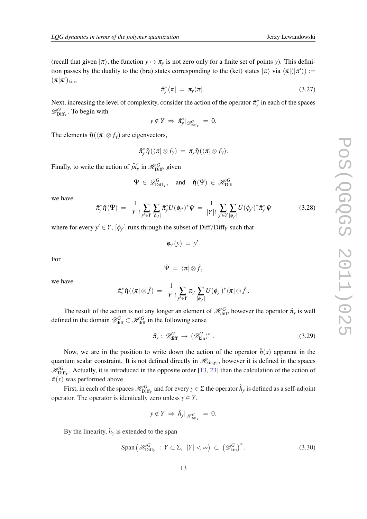<span id="page-12-0"></span>(recall that given  $|\pi\rangle$ , the function  $y \mapsto \pi_y$  is not zero only for a finite set of points *y*). This definition passes by the duality to the (bra) states corresponding to the (ket) states  $|\pi\rangle$  via  $\langle \pi|(|\pi'\rangle)$  :=  $(\pi|\pi')_{\rm kin}$ ,

$$
\hat{\pi}_{y}^{*}\langle\pi| = \pi_{y}\langle\pi|.\tag{3.27}
$$

Next, increasing the level of complexity, consider the action of the operator  $\hat{\pi}^*_y$  in each of the spaces  $\mathscr{D}_{\text{Diff}_Y}^G$ . To begin with

$$
y \notin Y \implies \hat{\pi}_{y}^{*}|_{\mathscr{D}_{\text{Diff}_{Y}}^{G}} = 0.
$$

The elements  $\tilde{\eta}(\langle \pi | \otimes f_{\gamma} \rangle)$  are eigenvectors,

$$
\hat{\pi}_{y}^{*}\tilde{\eta}(\langle\pi|\otimes f_{\gamma}) = \pi_{y}\tilde{\eta}(\langle\pi|\otimes f_{\gamma}).
$$

Finally, to write the action of  $\hat{pi}^*$  $\frac{1}{y}$  in  $\mathcal{H}_{\text{Diff}}^G$ , given

$$
\tilde{\Psi} \in \mathscr{D}^G_{\mathrm{Diff}_\mathrm{Y}}, \quad \text{and} \quad \check{\eta}(\tilde{\Psi}) \, \in \, \mathscr{H}^G_{\mathrm{Diff}}
$$

we have

$$
\hat{\pi}_{\mathbf{y}}^* \check{\eta}(\tilde{\Psi}) = \frac{1}{|Y|!} \sum_{\mathbf{y}' \in Y[\phi_{\mathbf{y}'}]}\hat{\pi}_{\mathbf{y}}^* U(\phi_{\mathbf{y}'})^* \tilde{\Psi} = \frac{1}{|Y|!} \sum_{\mathbf{y}' \in Y[\phi_{\mathbf{y}'}]} U(\phi_{\mathbf{y}'})^* \hat{\pi}_{\mathbf{y}'}^* \tilde{\Psi}
$$
(3.28)

where for every  $y' \in Y$ ,  $[\phi_{y'}]$  runs through the subset of Diff/Diff<sub>*Y*</sub> such that

$$
\phi_{y'}(y) = y'.
$$

For

$$
\tilde{\Psi} = \langle \pi | \otimes \tilde{f},
$$

we have

$$
\hat \pi_{\!\! y}^*\check \eta(\langle \pi|\otimes \tilde f) \,=\, \frac{1}{|Y|!} \sum_{\substack{\textstyle y'\in Y}} \pi_{\!\! y'} \sum_{[\phi_{\!\! y'}]} U(\phi_{\!\! y'})^* \langle \pi|\otimes \tilde f\ .
$$

The result of the action is not any longer an element of  $\mathcal{H}_{diff}^G$ , however the operator  $\hat{\pi}_y$  is well defined in the domain  $\mathscr{D}_{\text{diff}}^G \subset \mathscr{H}_{\text{diff}}^G$  in the following sense

$$
\hat{\pi}_y: \mathscr{D}_{\text{diff}}^G \to (\mathscr{D}_{\text{kin}}^G)^* \,. \tag{3.29}
$$

Now, we are in the position to write down the action of the operator  $\hat{h}(x)$  apparent in the quantum scalar constraint. It is not defined directly in  $\mathcal{H}_{\text{kin,gr}}$ , however it is defined in the spaces  $\mathcal{H}_{\text{Diff}_Y}^G$ . Actually, it is introduced in the opposite order [\[13](#page-18-0), [23](#page-18-0)] than the calculation of the action of  $\hat{\pi}(x)$  was performed above.

First, in each of the spaces  $\mathcal{H}_{\text{Diff}_Y}^G$  and for every  $y \in \Sigma$  the operator  $\hat{h}_y$  is defined as a self-adjoint operator. The operator is identically zero unless  $y \in Y$ ,

$$
y \notin Y \implies \hat{h}_y|_{\mathscr{H}_{\text{Diff}_Y}^G} = 0.
$$

By the linearity,  $\hat{h}_y$  is extended to the span

$$
\text{Span}\left(\mathcal{H}_{\text{Diff}_{Y}}^{G} : Y \subset \Sigma, |Y| < \infty\right) \subset \left(\mathcal{D}_{\text{kin}}^{G}\right)^{*}.\tag{3.30}
$$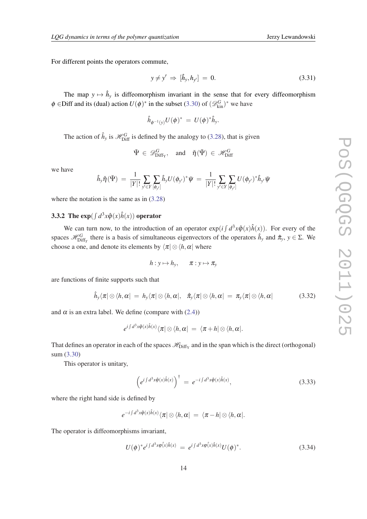<span id="page-13-0"></span>For different points the operators commute,

$$
y \neq y' \Rightarrow [\hat{h}_y, h_{y'}] = 0. \tag{3.31}
$$

The map  $y \mapsto \hat{h}_y$  is diffeomorphism invariant in the sense that for every diffeomorphism  $\phi$  ∈Diff and its (dual) action  $U(\phi)^*$  in the subset [\(3.30](#page-12-0)) of  $(\mathscr{D}_{\text{kin}}^G)^*$  we have

$$
\hat{h}_{\phi^{-1}(y)}U(\phi)^* = U(\phi)^*\hat{h}_y.
$$

The action of  $\hat{h}_y$  is  $\mathcal{H}_{\text{Diff}}^G$  is defined by the analogy to [\(3.28](#page-12-0)), that is given

$$
\tilde{\Psi} \in \mathscr{D}^G_{\mathrm{Diff}_\mathrm{Y}}, \quad \text{and} \quad \check{\eta}(\tilde{\Psi}) \in \mathscr{H}^G_{\mathrm{Diff}}
$$

we have

$$
\hat{h}_y \check{\eta}(\tilde{\Psi}) = \frac{1}{|Y|!} \sum_{y' \in Y[\phi_{y'}]} \hat{h}_y U(\phi_{y'})^* \tilde{\psi} = \frac{1}{|Y|!} \sum_{y' \in Y[\phi_{y'}]} U(\phi_{y'})^* \hat{h}_{y'} \tilde{\psi}
$$

where the notation is the same as in  $(3.28)$  $(3.28)$ 

# **3.3.2** The  $exp(\int d^3x \hat{\varphi}(x)\hat{h}(x))$  operator

We can turn now, to the introduction of an operator  $exp(i \int d^3x \hat{\varphi}(x) \hat{h}(x))$ . For every of the spaces  $\mathscr{H}_{\text{Diff}_Y}^G$  there is a basis of simultaneous eigenvectors of the operators  $\hat{h}_y$  and  $\hat{\pi}_y$ ,  $y \in \Sigma$ . We choose a one, and denote its elements by  $\langle \pi | \otimes \langle h, \alpha | \rangle$  where

$$
h: y \mapsto h_y, \qquad \pi: y \mapsto \pi_y
$$

are functions of finite supports such that

$$
\hat{h}_y \langle \pi | \otimes \langle h, \alpha | = h_y \langle \pi | \otimes \langle h, \alpha |, \quad \hat{\pi}_y \langle \pi | \otimes \langle h, \alpha | = \pi_y \langle \pi | \otimes \langle h, \alpha | \tag{3.32}
$$

and  $\alpha$  is an extra label. We define (compare with [\(2.4\)](#page-5-0))

$$
e^{i\int d^3x\hat{\varphi}(x)\hat{h}(x)}\langle\pi|\otimes\langle h,\alpha| = |\langle\pi+h|\otimes\langle h,\alpha|.
$$

That defines an operator in each of the spaces  $\mathcal{H}_{\text{Diff}_Y}$  and in the span which is the direct (orthogonal) sum ([3.30\)](#page-12-0)

This operator is unitary,

$$
\left(e^{i\int d^3x \hat{\varphi}(x)\hat{h}(x)}\right)^{\dagger} = e^{-i\int d^3x \hat{\varphi}(x)\hat{h}(x)},\tag{3.33}
$$

where the right hand side is defined by

$$
e^{-i\int d^3x \phi(x)\hat{h}(x)} \langle \pi | \otimes \langle h, \alpha | = \langle \pi - h | \otimes \langle h, \alpha |.
$$

The operator is diffeomorphisms invariant,

$$
U(\phi)^* e^{i \int d^3 x \phi(x) \hat{h}(x)} = e^{i \int d^3 x \phi(x) \hat{h}(x)} U(\phi)^*.
$$
 (3.34)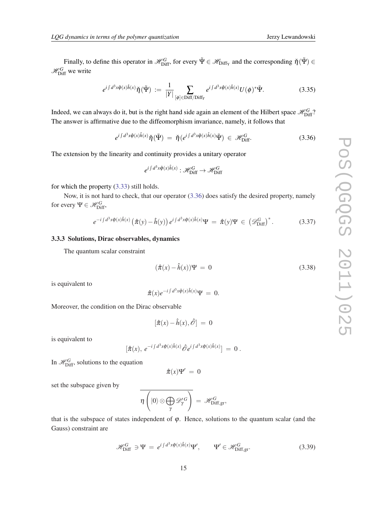<span id="page-14-0"></span>Finally, to define this operator in  $\mathscr{H}_{\text{Diff}}^G$ , for every  $\tilde{\Psi} \in \mathscr{H}_{\text{Diff}_Y}$  and the corresponding  $\check{\eta}(\tilde{\Psi}) \in$  $\mathscr{H}_{\mathrm{Diff}}^{G}$  we write

$$
e^{i\int d^3x \hat{\varphi}(x)\hat{h}(x)}\check{\eta}(\tilde{\Psi}) := \frac{1}{|Y|} \sum_{[\phi]\in \text{Diff}/\text{Diff}_Y} e^{i\int d^3x \hat{\varphi}(x)\hat{h}(x)} U(\phi)^*\tilde{\Psi}.
$$
 (3.35)

Indeed, we can always do it, but is the right hand side again an element of the Hilbert space  $\mathscr{H}_{\rm Diff}^G$ ? The answer is affirmative due to the diffeomorphism invariance, namely, it follows that

> $e^{i\int d^3x \hat{\varphi}(x)\hat{h}(x)}\breve{\eta}(\tilde{\Psi}) \ = \ \breve{\eta}(e^{i\int d^3x \hat{\varphi}(x)\hat{h}(x)}\tilde{\Psi}) \ \in \ \mathscr{H}_{\mathrm{Di}}^G$  $(3.36)$

The extension by the linearity and continuity provides a unitary operator

$$
e^{i\int d^3x \hat{\varphi}(x)\hat{h}(x)} : \mathcal{H}_{\text{Diff}}^G \to \mathcal{H}_{\text{Diff}}^G
$$

for which the property ([3.33\)](#page-13-0) still holds.

Now, it is not hard to check, that our operator (3.36) does satisfy the desired property, namely for every  $\Psi \in \mathcal{H}_{\text{Diff}}^G$ ,

$$
e^{-i\int d^3x \hat{\varphi}(x)\hat{h}(x)} \left(\hat{\pi}(y) - \hat{h}(y)\right) e^{i\int d^3x \hat{\varphi}(x)\hat{h}(x)} \Psi = \hat{\pi}(y) \Psi \in \left(\mathscr{D}_{\text{Diff}}^G\right)^*.
$$
 (3.37)

#### 3.3.3 Solutions, Dirac observables, dynamics

The quantum scalar constraint

$$
(\hat{\pi}(x) - \hat{h}(x))\Psi = 0 \tag{3.38}
$$

is equivalent to

$$
\hat{\pi}(x)e^{-i\int d^3x\hat{\varphi}(x)\hat{h}(x)}\Psi = 0.
$$

Moreover, the condition on the Dirac observable

$$
[\hat{\pi}(x) - \hat{h}(x), \hat{\mathcal{O}}] = 0
$$

is equivalent to

$$
[\hat{\pi}(x),\ e^{-i\int d^3x \hat{\varphi}(x)\hat{h}(x)}\hat{\mathscr{O}}e^{i\int d^3x \hat{\varphi}(x)\hat{h}(x)}]\ =\ 0\ .
$$

In  $\mathcal{H}_{\text{Diff}}^G$ , solutions to the equation

$$
\hat{\pi}(x)\Psi'~=~0
$$

set the subspace given by

$$
\overline{\eta\left(|0\rangle\otimes\bigoplus_{\gamma}\mathscr{D}_{\gamma}'^G\right)}\ =\ \mathscr{H}_{\mathrm{Diff},\mathrm{gr}}^G,
$$

that is the subspace of states independent of  $\varphi$ . Hence, solutions to the quantum scalar (and the Gauss) constraint are

$$
\mathcal{H}_{\text{Diff}}^G \ni \Psi = e^{i \int d^3 x \hat{\varphi}(x) \hat{h}(x)} \Psi', \qquad \Psi' \in \mathcal{H}_{\text{Diff,gr}}^G. \tag{3.39}
$$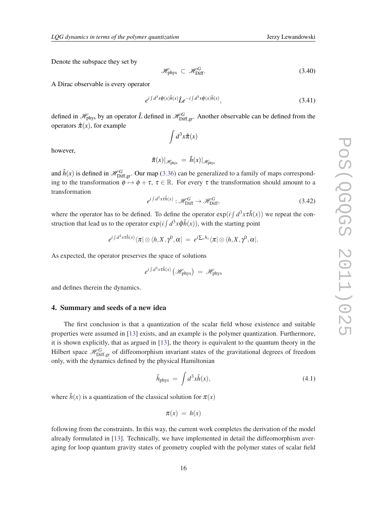Denote the subspace they set by

$$
\mathcal{H}_{\text{phys}} \subset \mathcal{H}_{\text{Diff}}^G. \tag{3.40}
$$

A Dirac observable is every operator

$$
e^{i\int d^3x \hat{\varphi}(x)\hat{h}(x)}\hat{L}e^{-i\int d^3x \hat{\varphi}(x)\hat{h}(x)},\tag{3.41}
$$

defined in  $\mathscr{H}_{\text{phys}}$  by an operator  $\hat{L}$  defined in  $\mathscr{H}_{\text{Diff,gr}}^G$ . Another observable can be defined from the operators  $\hat{\pi}(x)$ , for example

 $\int d^3x \hat{\pi}(x)$ 

however,

$$
\hat{\pi}(x)|_{\mathscr{H}_{\text{phys}}} = \hat{h}(x)|_{\mathscr{H}_{\text{phys}}}
$$

and  $\hat{h}(x)$  is defined in  $\mathcal{H}_{\text{Diff,gr}}^G$ . Our map [\(3.36](#page-14-0)) can be generalized to a family of maps corresponding to the transformation  $\phi \mapsto \phi + \tau$ ,  $\tau \in \mathbb{R}$ . For every  $\tau$  the transformation should amount to a transformation

$$
e^{i\int d^3x\tau \hat{h}(x)} : \mathcal{H}_{\text{Diff}}^G \to \mathcal{H}_{\text{Diff}}^G,\tag{3.42}
$$

where the operator has to be defined. To define the operator  $exp(i \int d^3x \tau \hat{h}(x))$  we repeat the construction that lead us to the operator  $exp(i \int d^3x \hat{\varphi} \hat{h}(x))$ , with the starting point

$$
e^{i\int d^3x \tau \hat{h}(x)}\langle \pi|\otimes \langle h, X, \gamma^0, \alpha| = e^{i\sum_x h_x} \langle \pi|\otimes \langle h, X, \gamma^0, \alpha|.
$$

As expected, the operator preserves the space of solutions

$$
e^{i\int d^3x\tau \hat{h}(x)}\left(\mathcal{H}_{\text{phys}}\right) = \mathcal{H}_{\text{phys}}
$$

and defines therein the dynamics.

## 4. Summary and seeds of a new idea

The first conclusion is that a quantization of the scalar field whose existence and suitable properties were assumed in [\[13](#page-18-0)] exists, and an example is the polymer quantization. Furthermore, it is shown explicitly, that as argued in [\[13](#page-18-0)], the theory is equivalent to the quantum theory in the Hilbert space  $\mathcal{H}_{\textrm{Diff,gr}}^{G}$  of diffeomorphism invariant states of the gravitational degrees of freedom only, with the dynamics defined by the physical Hamiltonian

$$
\hat{h}_{\text{phys}} = \int d^3x \hat{h}(x), \tag{4.1}
$$

where  $\hat{h}(x)$  is a quantization of the classical solution for  $\pi(x)$ 

$$
\pi(x) = h(x)
$$

following from the constraints. In this way, the current work completes the derivation of the model already formulated in [[13\]](#page-18-0). Technically, we have implemented in detail the diffeomorphism averaging for loop quantum gravity states of geometry coupled with the polymer states of scalar field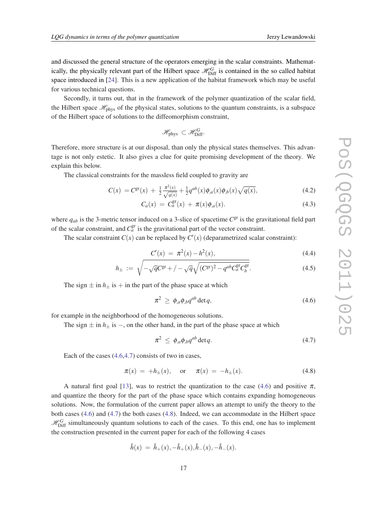and discussed the general structure of the operators emerging in the scalar constraints. Mathematically, the physically relevant part of the Hilbert space  $\mathcal{H}_{\text{Diff}}^G$  is contained in the so called habitat space introduced in [\[24](#page-18-0)]. This is a new application of the habitat framework which may be useful for various technical questions.

Secondly, it turns out, that in the framework of the polymer quantization of the scalar field, the Hilbert space  $\mathcal{H}_{\text{phys}}$  of the physical states, solutions to the quantum constraints, is a subspace of the Hilbert space of solutions to the diffeomorphism constraint,

$$
\mathscr{H}_{\text{phys}} \subset \mathscr{H}_{\text{Diff}}^G.
$$

Therefore, more structure is at our disposal, than only the physical states themselves. This advantage is not only estetic. It also gives a clue for quite promising development of the theory. We explain this below.

The classical constraints for the massless field coupled to gravity are

$$
C(x) = C^{\rm gr}(x) + \frac{1}{2} \frac{\pi^2(x)}{\sqrt{q(x)}} + \frac{1}{2} q^{ab}(x) \phi_{,a}(x) \phi_{,b}(x) \sqrt{q(x)}, \tag{4.2}
$$

$$
C_a(x) = C_a^{\rm gr}(x) + \pi(x)\phi_{,a}(x). \tag{4.3}
$$

where  $q_{ab}$  is the 3-metric tensor induced on a 3-slice of spacetime  $C^{gr}$  is the gravitational field part of the scalar constraint, and  $C_a^{\text{gr}}$  is the gravitational part of the vector constraint.

The scalar constraint  $C(x)$  can be replaced by  $C'(x)$  (deparametrized scalar constraint):

$$
C'(x) = \pi^2(x) - h^2(x), \tag{4.4}
$$

$$
h_{\pm} := \sqrt{-\sqrt{q}C^{\rm gr} + / -\sqrt{q}\sqrt{(C^{\rm gr})^2 - q^{ab}C^{\rm gr}_a C^{\rm gr}_b}}.
$$
\n(4.5)

The sign  $\pm$  in  $h_{\pm}$  is  $+$  in the part of the phase space at which

$$
\pi^2 \ge \phi_{,a}\phi_{,b}q^{ab}\det q,\tag{4.6}
$$

for example in the neighborhood of the homogeneous solutions.

The sign  $\pm$  in  $h_{\pm}$  is  $-$ , on the other hand, in the part of the phase space at which

$$
\pi^2 \le \phi_{,a}\phi_{,b}q^{ab}\det q. \tag{4.7}
$$

Each of the cases (4.6,4.7) consists of two in cases,

$$
\pi(x) = +h_{\pm}(x)
$$
, or  $\pi(x) = -h_{\pm}(x)$ . (4.8)

A natural first goal [[13](#page-18-0)], was to restrict the quantization to the case (4.6) and positive  $\pi$ , and quantize the theory for the part of the phase space which contains expanding homogeneous solutions. Now, the formulation of the current paper allows an attempt to unify the theory to the both cases (4.6) and (4.7) the both cases (4.8). Indeed, we can accommodate in the Hilbert space  $\mathcal{H}_{\text{Diff}}^G$  simultaneously quantum solutions to each of the cases. To this end, one has to implement the construction presented in the current paper for each of the following 4 cases

$$
\hat{h}(x) = \hat{h}_+(x), -\hat{h}_+(x), \hat{h}_-(x), -\hat{h}_-(x).
$$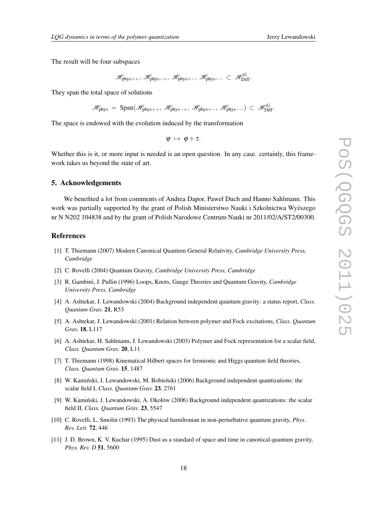<span id="page-17-0"></span>The result will be four subspaces

$$
\mathscr{H}_{\text{phys}++}, \ \mathscr{H}_{\text{phys}--}, \ \mathscr{H}_{\text{phys}+-}, \ \mathscr{H}_{\text{phys}--} \ \subset \ \mathscr{H}_{\text{Diff}}^G.
$$

They span the total space of solutions

$$
\mathscr{H}_{\text{phys}}\ =\ \text{Span}(\mathscr{H}_{\text{phys}++},\ \mathscr{H}_{\text{phys}--},\ \mathscr{H}_{\text{phys}+-},\ \mathscr{H}_{\text{phys}--})\ \subset\ \mathscr{H}_{\text{Diff}}^G.
$$

The space is endowed with the evolution induced by the transformation

 $\varphi \mapsto \varphi + \tau.$ 

Whether this is it, or more input is needed is an open question. In any case, certainly, this framework takes us beyond the state of art.

#### 5. Acknowledgements

We benefited a lot from comments of Andrea Dapor, Paweł Duch and Hanno Sahlmann. This work was partially supported by the grant of Polish Ministerstwo Nauki i Szkolnictwa Wyższego nr N N202 104838 and by the grant of Polish Narodowe Centrum Nauki nr 2011/02/A/ST2/00300.

#### References

- [1] T. Thiemann (2007) Modern Canonical Quantum General Relativity, *Cambridge University Press, Cambridge*
- [2] C. Rovelli (2004) Quantum Gravity, *Cambridge University Press, Cambridge*
- [3] R. Gambini, J. Pullin (1996) Loops, Knots, Gauge Theories and Quantum Gravity, *Cambridge University Press, Cambridge*
- [4] A. Ashtekar, J. Lewandowski (2004) Background independent quantum gravity: a status report, *Class. Quantum Grav.* 21, R53
- [5] A. Ashtekar, J. Lewandowski (2001) Relation between polymer and Fock excitations, *Class. Quantum Grav.* 18, L117
- [6] A. Ashtekar, H. Sahlmann, J. Lewandowski (2003) Polymer and Fock representation for a scalar field, *Class. Quantum Grav.* 20, L11
- [7] T. Thiemann (1998) Kinematical Hilbert spaces for fermionic and Higgs quantum field theories, *Class. Quantum Grav.* 15, 1487
- [8] W. Kamiński, J. Lewandowski, M. Bobieński (2006) Background independent quantizations: the scalar field I, *Class. Quantum Grav.* 23, 2761
- [9] W. Kaminski, J. Lewandowski, A. Okołów (2006) Background independent quantizations: the scalar ´ field II, *Class. Quantum Grav.* 23, 5547
- [10] C. Rovelli, L. Smolin (1993) The physical hamiltonian in non-perturbative quantum gravity, *Phys. Rev. Lett.* 72, 446
- [11] J. D. Brown, K. V. Kuchar (1995) Dust as a standard of space and time in canonical quantum gravity, *Phys. Rev. D* 51, 5600